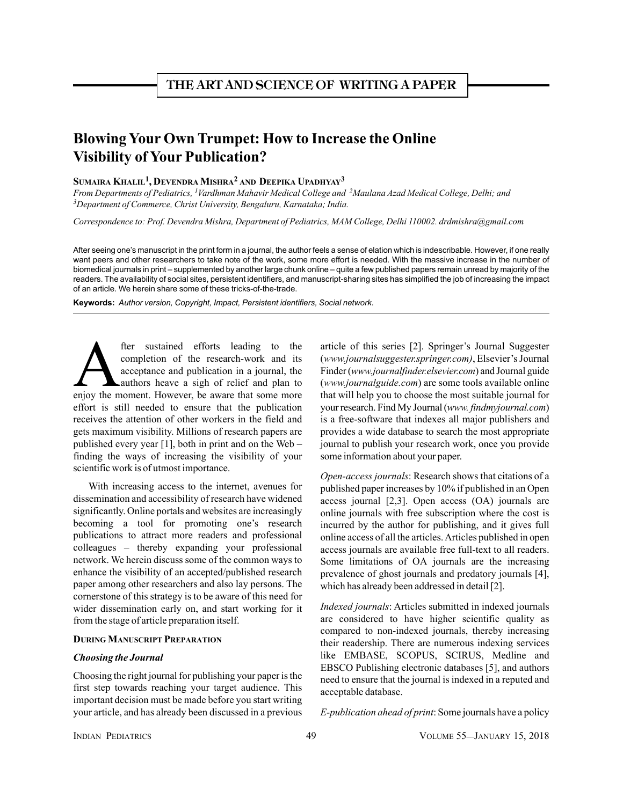# **Blowing Your Own Trumpet: How to Increase the Online Visibility of Your Publication?**

## **SUMAIRA KHALIL1, DEVENDRA MISHRA2 AND DEEPIKA UPADHYAY3**

*From Departments of Pediatrics, 1Vardhman Mahavir Medical College and 2Maulana Azad Medical College, Delhi; and 3Department of Commerce, Christ University, Bengaluru, Karnataka; India.*

*Correspondence to: Prof. Devendra Mishra, Department of Pediatrics, MAM College, Delhi 110002. drdmishra@gmail.com*

After seeing one's manuscript in the print form in a journal, the author feels a sense of elation which is indescribable. However, if one really want peers and other researchers to take note of the work, some more effort is needed. With the massive increase in the number of biomedical journals in print – supplemented by another large chunk online – quite a few published papers remain unread by majority of the readers. The availability of social sites, persistent identifiers, and manuscript-sharing sites has simplified the job of increasing the impact of an article. We herein share some of these tricks-of-the-trade.

**Keywords:** *Author version, Copyright, Impact, Persistent identifiers, Social network*.

fter sustained efforts leading to the completion of the research-work and its acceptance and publication in a journal, the authors heave a sigh of relief and plan to enjoy the moment. However, be aware that some more completion of the research-work and its acceptance and publication in a journal, the authors heave a sigh of relief and plan to effort is still needed to ensure that the publication receives the attention of other workers in the field and gets maximum visibility. Millions of research papers are published every year [1], both in print and on the Web – finding the ways of increasing the visibility of your scientific work is of utmost importance.

With increasing access to the internet, avenues for dissemination and accessibility of research have widened significantly. Online portals and websites are increasingly becoming a tool for promoting one's research publications to attract more readers and professional colleagues – thereby expanding your professional network. We herein discuss some of the common ways to enhance the visibility of an accepted/published research paper among other researchers and also lay persons. The cornerstone of this strategy is to be aware of this need for wider dissemination early on, and start working for it from the stage of article preparation itself.

#### **DURING MANUSCRIPT PREPARATION**

#### *Choosing the Journal*

Choosing the right journal for publishing your paper is the first step towards reaching your target audience. This important decision must be made before you start writing your article, and has already been discussed in a previous

article of this series [2]. Springer's Journal Suggester (*www.journalsuggester.springer.com)*, Elsevier's Journal Finder (*www.journalfinder.elsevier.com*) and Journal guide (*www.journalguide.com*) are some tools available online that will help you to choose the most suitable journal for your research. Find My Journal (*www. findmyjournal.com*) is a free-software that indexes all major publishers and provides a wide database to search the most appropriate journal to publish your research work, once you provide some information about your paper.

*Open-access journals*: Research shows that citations of a published paper increases by 10% if published in an Open access journal [2,3]. Open access (OA) journals are online journals with free subscription where the cost is incurred by the author for publishing, and it gives full online access of all the articles. Articles published in open access journals are available free full-text to all readers. Some limitations of OA journals are the increasing prevalence of ghost journals and predatory journals [4], which has already been addressed in detail [2].

*Indexed journals*: Articles submitted in indexed journals are considered to have higher scientific quality as compared to non-indexed journals, thereby increasing their readership. There are numerous indexing services like EMBASE, SCOPUS, SCIRUS, Medline and EBSCO Publishing electronic databases [5], and authors need to ensure that the journal is indexed in a reputed and acceptable database.

*E-publication ahead of print*: Some journals have a policy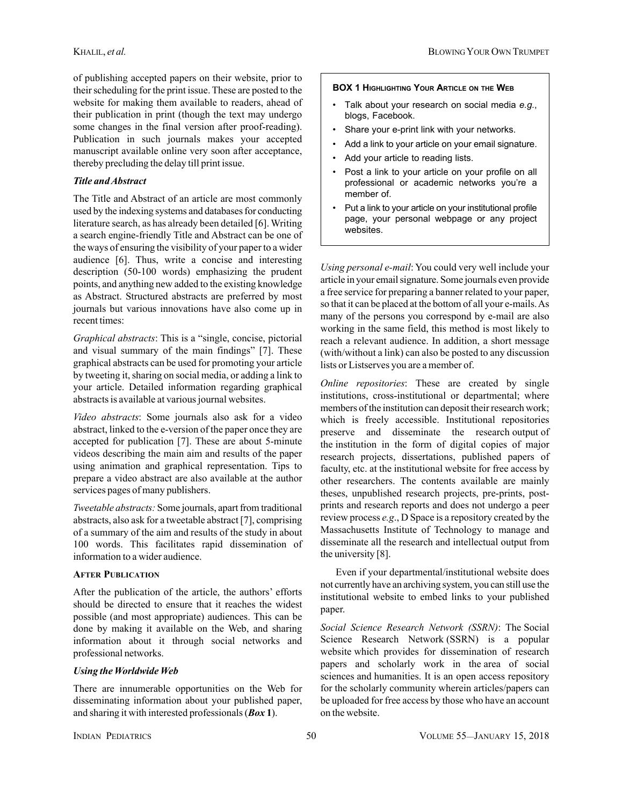of publishing accepted papers on their website, prior to their scheduling for the print issue. These are posted to the website for making them available to readers, ahead of their publication in print (though the text may undergo some changes in the final version after proof-reading). Publication in such journals makes your accepted manuscript available online very soon after acceptance, thereby precluding the delay till print issue.

## *Title and Abstract*

The Title and Abstract of an article are most commonly used by the indexing systems and databases for conducting literature search, as has already been detailed [6]. Writing a search engine-friendly Title and Abstract can be one of the ways of ensuring the visibility of your paper to a wider audience [6]. Thus, write a concise and interesting description (50-100 words) emphasizing the prudent points, and anything new added to the existing knowledge as Abstract. Structured abstracts are preferred by most journals but various innovations have also come up in recent times:

*Graphical abstracts*: This is a "single, concise, pictorial and visual summary of the main findings" [7]. These graphical abstracts can be used for promoting your article by tweeting it, sharing on social media, or adding a link to your article. Detailed information regarding graphical abstracts is available at various journal websites.

*Video abstracts*: Some journals also ask for a video abstract, linked to the e-version of the paper once they are accepted for publication [7]. These are about 5-minute videos describing the main aim and results of the paper using animation and graphical representation. Tips to prepare a video abstract are also available at the author services pages of many publishers.

*Tweetable abstracts:* Some journals, apart from traditional abstracts, also ask for a tweetable abstract [7], comprising of a summary of the aim and results of the study in about 100 words. This facilitates rapid dissemination of information to a wider audience.

### **AFTER PUBLICATION**

After the publication of the article, the authors' efforts should be directed to ensure that it reaches the widest possible (and most appropriate) audiences. This can be done by making it available on the Web, and sharing information about it through social networks and professional networks.

### *Using the Worldwide Web*

There are innumerable opportunities on the Web for disseminating information about your published paper, and sharing it with interested professionals (*Box* **1**).

#### **BOX 1 HIGHLIGHTING YOUR ARTICLE ON THE WEB**

- Talk about your research on social media *e.g.*, blogs, Facebook.
- Share your e-print link with your networks.
- Add a link to your article on your email signature.
- Add your article to reading lists.
- Post a link to your article on your profile on all professional or academic networks you're a member of.
- Put a link to your article on your institutional profile page, your personal webpage or any project websites.

*Using personal e-mail*: You could very well include your article in your email signature. Some journals even provide a free service for preparing a banner related to your paper, so that it can be placed at the bottom of all your e-mails. As many of the persons you correspond by e-mail are also working in the same field, this method is most likely to reach a relevant audience. In addition, a short message (with/without a link) can also be posted to any discussion lists or Listserves you are a member of.

*Online repositories*: These are created by single institutions, cross-institutional or departmental; where members of the institution can deposit their research work; which is freely accessible. Institutional repositories preserve and disseminate the research output of the institution in the form of digital copies of major research projects, dissertations, published papers of faculty, etc. at the institutional website for free access by other researchers. The contents available are mainly theses, unpublished research projects, pre-prints, postprints and research reports and does not undergo a peer review process *e.g*., D Space is a repository created by the Massachusetts Institute of Technology to manage and disseminate all the research and intellectual output from the university [8].

Even if your departmental/institutional website does not currently have an archiving system, you can still use the institutional website to embed links to your published paper.

*Social Science Research Network (SSRN)*: The Social Science Research Network (SSRN) is a popular website which provides for dissemination of research papers and scholarly work in the area of social sciences and humanities. It is an open access repository for the scholarly community wherein articles/papers can be uploaded for free access by those who have an account on the website.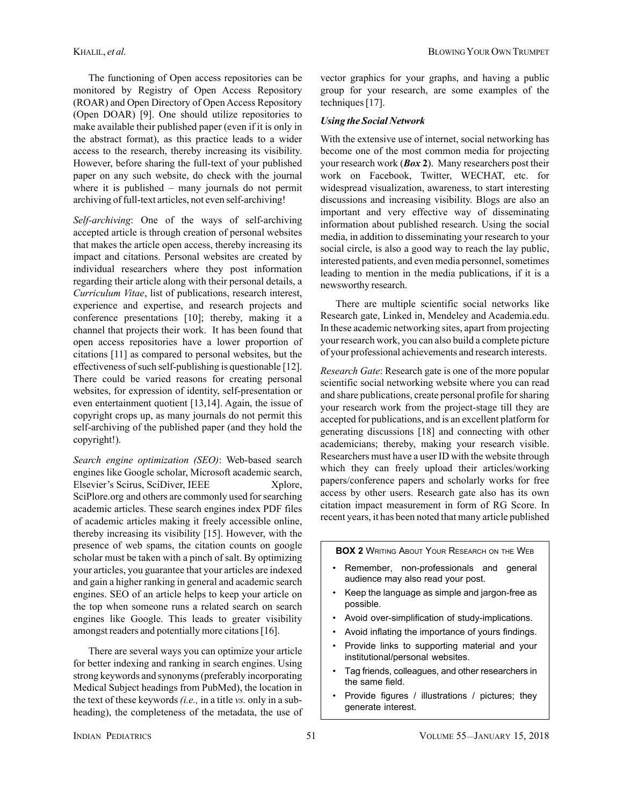The functioning of Open access repositories can be monitored by Registry of Open Access Repository (ROAR) and Open Directory of Open Access Repository (Open DOAR) [9]. One should utilize repositories to make available their published paper (even if it is only in the abstract format), as this practice leads to a wider access to the research, thereby increasing its visibility. However, before sharing the full-text of your published paper on any such website, do check with the journal where it is published – many journals do not permit archiving of full-text articles, not even self-archiving!

*Self-archiving*: One of the ways of self-archiving accepted article is through creation of personal websites that makes the article open access, thereby increasing its impact and citations. Personal websites are created by individual researchers where they post information regarding their article along with their personal details, a *Curriculum Vitae*, list of publications, research interest, experience and expertise, and research projects and conference presentations [10]; thereby, making it a channel that projects their work. It has been found that open access repositories have a lower proportion of citations [11] as compared to personal websites, but the effectiveness of such self-publishing is questionable [12]. There could be varied reasons for creating personal websites, for expression of identity, self-presentation or even entertainment quotient [13,14]. Again, the issue of copyright crops up, as many journals do not permit this self-archiving of the published paper (and they hold the copyright!).

*Search engine optimization (SEO)*: Web-based search engines like Google scholar, Microsoft academic search, Elsevier's Scirus, SciDiver, IEEE Xplore, SciPlore.org and others are commonly used for searching academic articles. These search engines index PDF files of academic articles making it freely accessible online, thereby increasing its visibility [15]. However, with the presence of web spams, the citation counts on google scholar must be taken with a pinch of salt. By optimizing your articles, you guarantee that your articles are indexed and gain a higher ranking in general and academic search engines. SEO of an article helps to keep your article on the top when someone runs a related search on search engines like Google. This leads to greater visibility amongst readers and potentially more citations [16].

There are several ways you can optimize your article for better indexing and ranking in search engines. Using strong keywords and synonyms (preferably incorporating Medical Subject headings from PubMed), the location in the text of these keywords *(i.e.,* in a title *vs.* only in a subheading), the completeness of the metadata, the use of vector graphics for your graphs, and having a public group for your research, are some examples of the techniques [17].

### *Using the Social Network*

With the extensive use of internet, social networking has become one of the most common media for projecting your research work (*Box* **2**). Many researchers post their work on Facebook, Twitter, WECHAT, etc. for widespread visualization, awareness, to start interesting discussions and increasing visibility. Blogs are also an important and very effective way of disseminating information about published research. Using the social media, in addition to disseminating your research to your social circle, is also a good way to reach the lay public, interested patients, and even media personnel, sometimes leading to mention in the media publications, if it is a newsworthy research.

There are multiple scientific social networks like Research gate, Linked in, Mendeley and Academia.edu. In these academic networking sites, apart from projecting your research work, you can also build a complete picture of your professional achievements and research interests.

*Research Gate*: Research gate is one of the more popular scientific social networking website where you can read and share publications, create personal profile for sharing your research work from the project-stage till they are accepted for publications, and is an excellent platform for generating discussions [18] and connecting with other academicians; thereby, making your research visible. Researchers must have a user ID with the website through which they can freely upload their articles/working papers/conference papers and scholarly works for free access by other users. Research gate also has its own citation impact measurement in form of RG Score. In recent years, it has been noted that many article published

| <b>BOX 2 WRITING ABOUT YOUR RESEARCH ON THE WEB</b>                            |
|--------------------------------------------------------------------------------|
| • Remember, non-professionals and general<br>audience may also read your post. |
| • Keep the language as simple and jargon-free as<br>possible.                  |

- Avoid over-simplification of study-implications.
- Avoid inflating the importance of yours findings.
- Provide links to supporting material and your institutional/personal websites.
- Tag friends, colleagues, and other researchers in the same field.
- Provide figures / illustrations / pictures; they generate interest.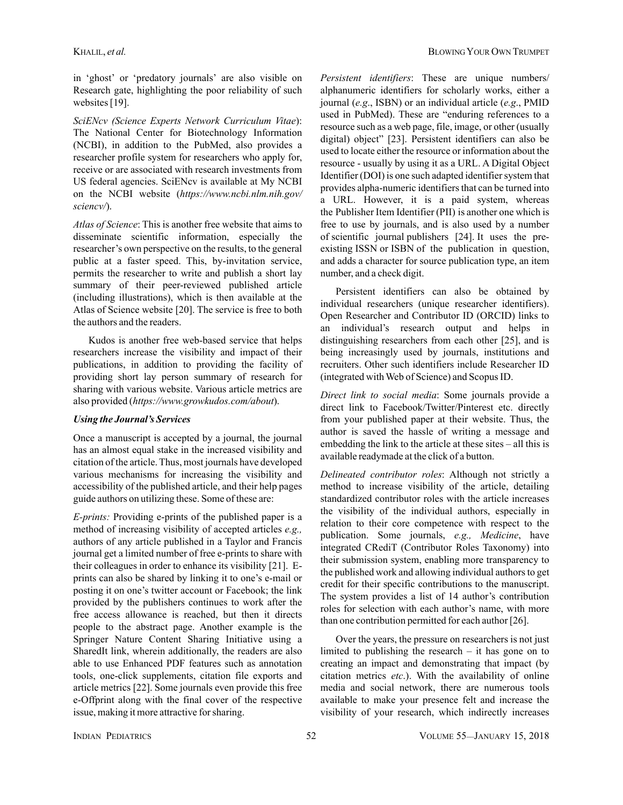in 'ghost' or 'predatory journals' are also visible on Research gate, highlighting the poor reliability of such websites [19].

*SciENcv (Science Experts Network Curriculum Vitae*): The National Center for Biotechnology Information (NCBI), in addition to the PubMed, also provides a researcher profile system for researchers who apply for, receive or are associated with research investments from US federal agencies. SciENcv is available at My NCBI on the NCBI website (*https://www.ncbi.nlm.nih.gov/ sciencv/*).

*Atlas of Science*: This is another free website that aims to disseminate scientific information, especially the researcher's own perspective on the results, to the general public at a faster speed. This, by-invitation service, permits the researcher to write and publish a short lay summary of their peer-reviewed published article (including illustrations), which is then available at the Atlas of Science website [20]. The service is free to both the authors and the readers.

Kudos is another free web-based service that helps researchers increase the visibility and impact of their publications, in addition to providing the facility of providing short lay person summary of research for sharing with various website. Various article metrics are also provided (*https://www.growkudos.com/about*).

## *Using the Journal's Services*

Once a manuscript is accepted by a journal, the journal has an almost equal stake in the increased visibility and citation of the article. Thus, most journals have developed various mechanisms for increasing the visibility and accessibility of the published article, and their help pages guide authors on utilizing these. Some of these are:

*E-prints:* Providing e-prints of the published paper is a method of increasing visibility of accepted articles *e.g.,* authors of any article published in a Taylor and Francis journal get a limited number of free e-prints to share with their colleagues in order to enhance its visibility [21]. Eprints can also be shared by linking it to one's e-mail or posting it on one's twitter account or Facebook; the link provided by the publishers continues to work after the free access allowance is reached, but then it directs people to the abstract page. Another example is the Springer Nature Content Sharing Initiative using a SharedIt link, wherein additionally, the readers are also able to use Enhanced PDF features such as annotation tools, one-click supplements, citation file exports and article metrics [22]. Some journals even provide this free e-Offprint along with the final cover of the respective issue, making it more attractive for sharing.

*Persistent identifiers*: These are unique numbers/ alphanumeric identifiers for scholarly works, either a journal (*e.g*., ISBN) or an individual article (*e.g*., PMID used in PubMed). These are "enduring references to a resource such as a web page, file, image, or other (usually digital) object" [23]. Persistent identifiers can also be used to locate either the resource or information about the resource - usually by using it as a URL. A Digital Object Identifier (DOI) is one such adapted identifier system that provides alpha-numeric identifiers that can be turned into a URL. However, it is a paid system, whereas the Publisher Item Identifier (PII) is another one which is free to use by journals, and is also used by a number of scientific journal publishers [24]. It uses the preexisting ISSN or ISBN of the publication in question, and adds a character for source publication type, an item number, and a check digit.

Persistent identifiers can also be obtained by individual researchers (unique researcher identifiers). Open Researcher and Contributor ID (ORCID) links to an individual's research output and helps in distinguishing researchers from each other [25], and is being increasingly used by journals, institutions and recruiters. Other such identifiers include Researcher ID (integrated with Web of Science) and Scopus ID.

*Direct link to social media*: Some journals provide a direct link to Facebook/Twitter/Pinterest etc. directly from your published paper at their website. Thus, the author is saved the hassle of writing a message and embedding the link to the article at these sites – all this is available readymade at the click of a button.

*Delineated contributor roles*: Although not strictly a method to increase visibility of the article, detailing standardized contributor roles with the article increases the visibility of the individual authors, especially in relation to their core competence with respect to the publication. Some journals, *e.g., Medicine*, have integrated CRediT (Contributor Roles Taxonomy) into their submission system, enabling more transparency to the published work and allowing individual authors to get credit for their specific contributions to the manuscript. The system provides a list of 14 author's contribution roles for selection with each author's name, with more than one contribution permitted for each author [26].

Over the years, the pressure on researchers is not just limited to publishing the research  $-$  it has gone on to creating an impact and demonstrating that impact (by citation metrics *etc*.). With the availability of online media and social network, there are numerous tools available to make your presence felt and increase the visibility of your research, which indirectly increases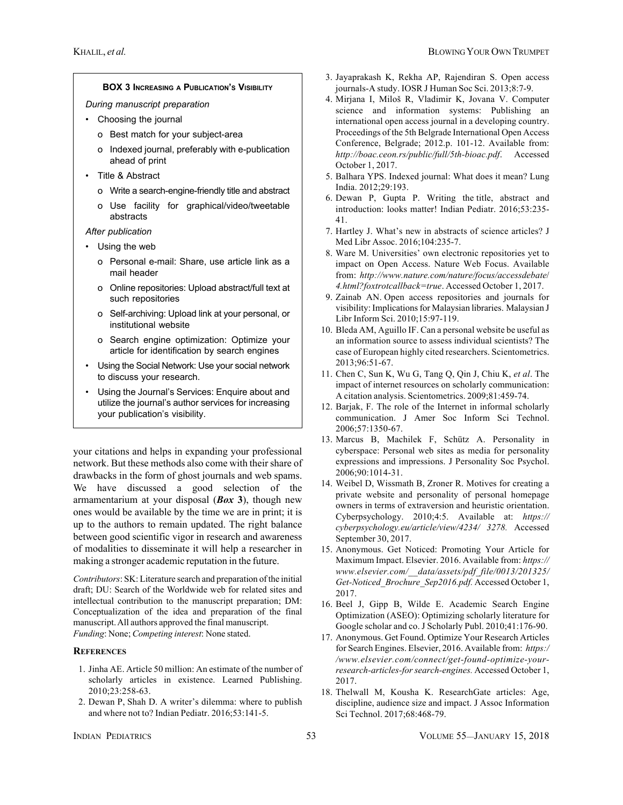#### **BOX 3 INCREASING A PUBLICATION'S VISIBILITY**

*During manuscript preparation*

- Choosing the journal
	- o Best match for your subject-area
	- o Indexed journal, preferably with e-publication ahead of print
- Title & Abstract
	- o Write a search-engine-friendly title and abstract
	- o Use facility for graphical/video/tweetable abstracts

#### *After publication*

- Using the web
	- o Personal e-mail: Share, use article link as a mail header
	- o Online repositories: Upload abstract/full text at such repositories
	- o Self-archiving: Upload link at your personal, or institutional website
	- o Search engine optimization: Optimize your article for identification by search engines
- Using the Social Network: Use your social network to discuss your research.
- Using the Journal's Services: Enquire about and utilize the journal's author services for increasing your publication's visibility.

your citations and helps in expanding your professional network. But these methods also come with their share of drawbacks in the form of ghost journals and web spams. We have discussed a good selection of the armamentarium at your disposal (*Box* **3**), though new ones would be available by the time we are in print; it is up to the authors to remain updated. The right balance between good scientific vigor in research and awareness of modalities to disseminate it will help a researcher in making a stronger academic reputation in the future.

*Contributors*: SK: Literature search and preparation of the initial draft; DU: Search of the Worldwide web for related sites and intellectual contribution to the manuscript preparation; DM: Conceptualization of the idea and preparation of the final manuscript. All authors approved the final manuscript. *Funding*: None; *Competing interest*: None stated.

#### **REFERENCES**

- 1. Jinha AE. Article 50 million: An estimate of the number of scholarly articles in existence. Learned Publishing. 2010;23:258-63.
- 2. Dewan P, Shah D. A writer's dilemma: where to publish and where not to? Indian Pediatr. 2016;53:141-5.
- 3. Jayaprakash K, Rekha AP, Rajendiran S. Open access journals-A study. IOSR J Human Soc Sci. 2013;8:7-9.
- 4. Mirjana I, Miloš R, Vladimir K, Jovana V. Computer science and information systems: Publishing an international open access journal in a developing country. Proceedings of the 5th Belgrade International Open Access Conference, Belgrade; 2012.p. 101-12. Available from: *http://boac.ceon.rs/public/full/5th-bioac.pdf*. Accessed October 1, 2017.
- 5. Balhara YPS. Indexed journal: What does it mean? Lung India. 2012;29:193.
- 6. Dewan P, Gupta P. Writing the title, abstract and introduction: looks matter! Indian Pediatr. 2016;53:235- 41.
- 7. Hartley J. What's new in abstracts of science articles? J Med Libr Assoc. 2016;104:235-7.
- 8. Ware M. Universities' own electronic repositories yet to impact on Open Access. Nature Web Focus. Available from: *http://www.nature.com/nature/focus/accessdebate*/ *4.html?foxtrotcallback=true*. Accessed October 1, 2017.
- 9. Zainab AN. Open access repositories and journals for visibility: Implications for Malaysian libraries. Malaysian J Libr Inform Sci. 2010;15:97-119.
- 10. Bleda AM, Aguillo IF. Can a personal website be useful as an information source to assess individual scientists? The case of European highly cited researchers. Scientometrics. 2013;96:51-67.
- 11. Chen C, Sun K, Wu G, Tang Q, Qin J, Chiu K, *et al*. The impact of internet resources on scholarly communication: A citation analysis. Scientometrics. 2009;81:459-74.
- 12. Barjak, F. The role of the Internet in informal scholarly communication. J Amer Soc Inform Sci Technol. 2006;57:1350-67.
- 13. Marcus B, Machilek F, Schütz A. Personality in cyberspace: Personal web sites as media for personality expressions and impressions. J Personality Soc Psychol. 2006;90:1014-31.
- 14. Weibel D, Wissmath B, Zroner R. Motives for creating a private website and personality of personal homepage owners in terms of extraversion and heuristic orientation. Cyberpsychology. 2010;4:5. Available at: *https:// cyberpsychology.eu/article/view/4234/ 3278.* Accessed September 30, 2017.
- 15. Anonymous. Get Noticed: Promoting Your Article for Maximum Impact. Elsevier. 2016. Available from: *https:// www.elsevier.com/\_\_data/assets/pdf\_file/0013/201325/ Get-Noticed\_Brochure\_Sep2016.pdf.* Accessed October 1, 2017.
- 16. Beel J, Gipp B, Wilde E. Academic Search Engine Optimization (ASEO): Optimizing scholarly literature for Google scholar and co. J Scholarly Publ. 2010;41:176-90.
- 17. Anonymous. Get Found. Optimize Your Research Articles for Search Engines. Elsevier, 2016. Available from: *https:/ /www.elsevier.com/connect/get-found-optimize-yourresearch-articles-for search-engines.* Accessed October 1, 2017.
- 18. Thelwall M, Kousha K. ResearchGate articles: Age, discipline, audience size and impact. J Assoc Information Sci Technol. 2017;68:468-79.